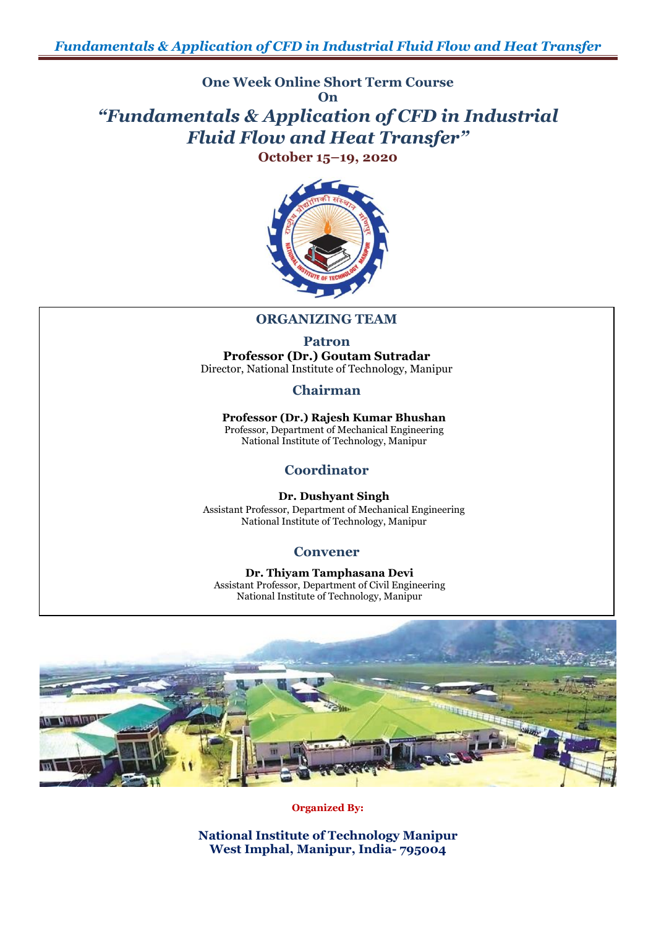**One Week Online Short Term Course On**

## *"Fundamentals & Application of CFD in Industrial Fluid Flow and Heat Transfer"*

**October 15–19, 2020**



## **ORGANIZING TEAM**

**Patron Professor (Dr.) Goutam Sutradar** Director, National Institute of Technology, Manipur

**Chairman**

**Professor (Dr.) Rajesh Kumar Bhushan** Professor, Department of Mechanical Engineering National Institute of Technology, Manipur

## **Coordinator**

**Dr. Dushyant Singh** Assistant Professor, Department of Mechanical Engineering National Institute of Technology, Manipur

## **Convener**

**Dr. Thiyam Tamphasana Devi** Assistant Professor, Department of Civil Engineering National Institute of Technology, Manipur



**Organized By:**

**National Institute of Technology Manipur West Imphal, Manipur, India- 795004**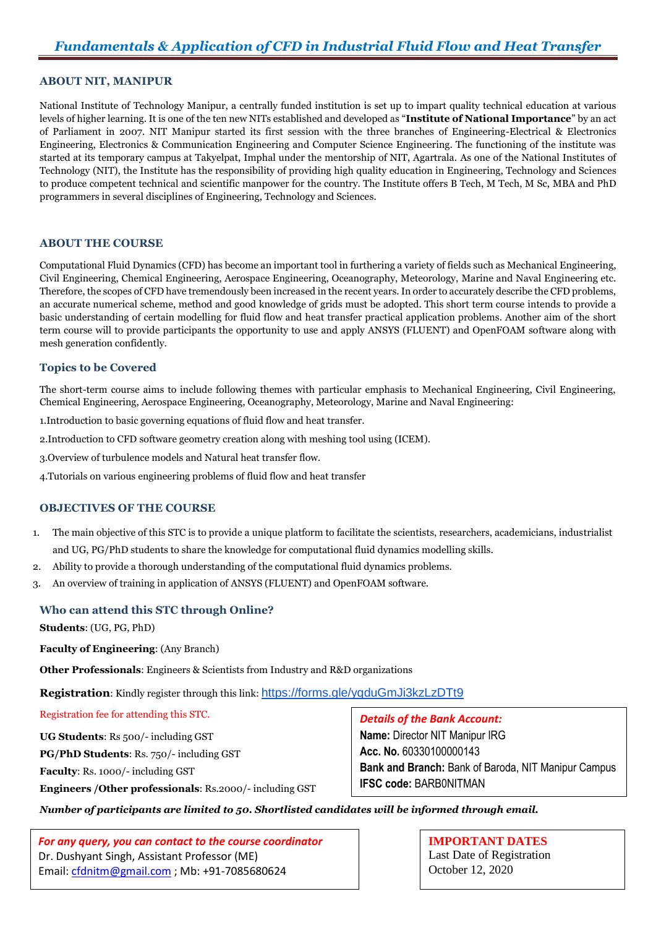#### **ABOUT NIT, MANIPUR**

National Institute of Technology Manipur, a centrally funded institution is set up to impart quality technical education at various levels of higher learning. It is one of the ten new NITs established and developed as "**Institute of National Importance**" by an act of Parliament in 2007. NIT Manipur started its first session with the three branches of Engineering-Electrical & Electronics Engineering, Electronics & Communication Engineering and Computer Science Engineering. The functioning of the institute was started at its temporary campus at Takyelpat, Imphal under the mentorship of NIT, Agartrala. As one of the National Institutes of Technology (NIT), the Institute has the responsibility of providing high quality education in Engineering, Technology and Sciences to produce competent technical and scientific manpower for the country. The Institute offers B Tech, M Tech, M Sc, MBA and PhD programmers in several disciplines of Engineering, Technology and Sciences.

#### **ABOUT THE COURSE**

Computational Fluid Dynamics (CFD) has become an important tool in furthering a variety of fields such as Mechanical Engineering, Civil Engineering, Chemical Engineering, Aerospace Engineering, Oceanography, Meteorology, Marine and Naval Engineering etc. Therefore, the scopes of CFD have tremendously been increased in the recent years. In order to accurately describe the CFD problems, an accurate numerical scheme, method and good knowledge of grids must be adopted. This short term course intends to provide a basic understanding of certain modelling for fluid flow and heat transfer practical application problems. Another aim of the short term course will to provide participants the opportunity to use and apply ANSYS (FLUENT) and OpenFOAM software along with mesh generation confidently.

#### **Topics to be Covered**

The short-term course aims to include following themes with particular emphasis to Mechanical Engineering, Civil Engineering, Chemical Engineering, Aerospace Engineering, Oceanography, Meteorology, Marine and Naval Engineering:

1.Introduction to basic governing equations of fluid flow and heat transfer.

- 2.Introduction to CFD software geometry creation along with meshing tool using (ICEM).
- 3.Overview of turbulence models and Natural heat transfer flow.
- 4.Tutorials on various engineering problems of fluid flow and heat transfer

#### **OBJECTIVES OF THE COURSE**

- 1. The main objective of this STC is to provide a unique platform to facilitate the scientists, researchers, academicians, industrialist and UG, PG/PhD students to share the knowledge for computational fluid dynamics modelling skills.
- 2. Ability to provide a thorough understanding of the computational fluid dynamics problems.
- 3. An overview of training in application of ANSYS (FLUENT) and OpenFOAM software.

#### **Who can attend this STC through Online?**

**Students**: (UG, PG, PhD)

**Faculty of Engineering**: (Any Branch)

**Other Professionals**: Engineers & Scientists from Industry and R&D organizations

**Registration**: Kindly register through this link: <https://forms.gle/yqduGmJi3kzLzDTt9>

Registration fee for attending this STC.

**UG Students**: Rs 500/- including GST

**PG/PhD Students**: Rs. 750/- including GST

**Faculty**: Rs. 1000/- including GST

**Engineers /Other professionals**: Rs.2000/- including GST

### *Details of the Bank Account:*

**Name:** Director NIT Manipur IRG **Acc. No.** 60330100000143 **Bank and Branch:** Bank of Baroda, NIT Manipur Campus **IFSC code:** BARB0NITMAN

*Number of participants are limited to 50. Shortlisted candidates will be informed through email.*

*For any query, you can contact to the course coordinator* Dr. Dushyant Singh, Assistant Professor (ME) Email: [cfdnitm@gmail.com](mailto:cfdnitm@gmail.com) ; Mb: +91-7085680624

**IMPORTANT DATES** Last Date of Registration October 12, 2020